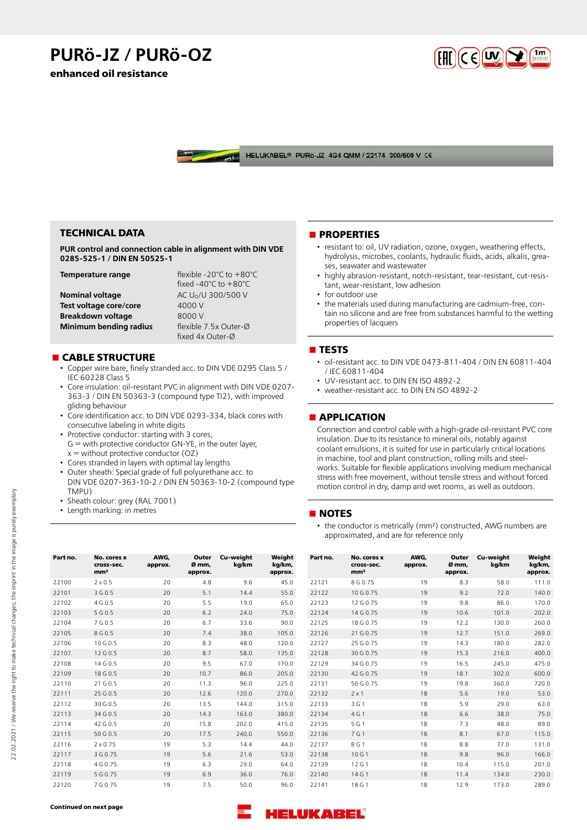# **PURö-JZ / PURö-OZ**

**enhanced oil resistance**



HELUKABEL<sup>®</sup> PURÖ-JZ 4G4 QMM / 22174 300/500 V CE

# **TECHNICAL DATA**

**PUR control and connection cable in alignment with DIN VDE 0285-525-1 / DIN EN 50525-1**

| Temperature range        | flexible -20 $^{\circ}$ C to $+80^{\circ}$ C |  |  |  |  |
|--------------------------|----------------------------------------------|--|--|--|--|
|                          | fixed -40 $^{\circ}$ C to $+80^{\circ}$ C    |  |  |  |  |
| <b>Nominal voltage</b>   | AC U <sub>0</sub> /U 300/500 V               |  |  |  |  |
| Test voltage core/core   | 4000 V                                       |  |  |  |  |
| <b>Breakdown voltage</b> | 8000 V                                       |  |  |  |  |
| Minimum bending radius   | flexible 7.5x Outer-Ø                        |  |  |  |  |
|                          | fixed 4x Outer-Ø                             |  |  |  |  |

## **n** CABLE STRUCTURE

- Copper wire bare, finely stranded acc. to DIN VDE 0295 Class 5 / IEC 60228 Class 5
- Core insulation: oil-resistant PVC in alignment with DIN VDE 0207- 363-3 / DIN EN 50363-3 (compound type TI2), with improved gliding behaviour
- Core identification acc. to DIN VDE 0293-334, black cores with consecutive labeling in white digits
- Protective conductor: starting with 3 cores, G = with protective conductor GN-YE, in the outer layer,  $x =$  without protective conductor (OZ)
- Cores stranded in layers with optimal lay lengths
- Outer sheath: Special grade of full polyurethane acc. to DIN VDE 0207-363-10-2 / DIN EN 50363-10-2 (compound type TMPU)
- Sheath colour: grey (RAL 7001)
- Length marking: in metres

#### **nPROPERTIES**

- resistant to: oil, UV radiation, ozone, oxygen, weathering effects, hydrolysis, microbes, coolants, hydraulic fluids, acids, alkalis, greases, seawater and wastewater
- highly abrasion-resistant, notch-resistant, tear-resistant, cut-resistant, wear-resistant, low adhesion
- for outdoor use
- the materials used during manufacturing are cadmium-free, contain no silicone and are free from substances harmful to the wetting properties of lacquers

## n **TESTS**

- oil-resistant acc. to DIN VDE 0473-811-404 / DIN EN 60811-404 / IEC 60811-404
- UV-resistant acc. to DIN EN ISO 4892-2
- weather-resistant acc. to DIN EN ISO 4892-2

#### **n** APPLICATION

Connection and control cable with a high-grade oil-resistant PVC core insulation. Due to its resistance to mineral oils, notably against coolant emulsions, it is suited for use in particularly critical locations in machine, tool and plant construction, rolling mills and steelworks. Suitable for flexible applications involving medium mechanical stress with free movement, without tensile stress and without forced motion control in dry, damp and wet rooms, as well as outdoors.

#### **NOTES**

• the conductor is metrically (mm²) constructed, AWG numbers are approximated, and are for reference only

| Part no. | No. cores x<br>cross-sec.<br>mm <sup>2</sup> | AWG.<br>approx. | Outer<br>Ø mm.<br>approx. | Cu-weight<br>kg/km | Weight<br>kg/km,<br>approx. | Part no. | No. cores x<br>cross-sec.<br>mm <sup>2</sup> | AWG,<br>approx. | Outer<br>Ø mm.<br>approx. | Cu-weight<br>kg/km | Weight<br>kg/km,<br>approx. |
|----------|----------------------------------------------|-----------------|---------------------------|--------------------|-----------------------------|----------|----------------------------------------------|-----------------|---------------------------|--------------------|-----------------------------|
| 22100    | $2 \times 0.5$                               | 20              | 4.8                       | 9.6                | 45.0                        | 22121    | 8 G 0.75                                     | 19              | 8.3                       | 58.0               | 111.0                       |
| 22101    | 3 G 0.5                                      | 20              | 5.1                       | 14.4               | 55.0                        | 22122    | 10 G 0.75                                    | 19              | 9.2                       | 72.0               | 140.0                       |
| 22102    | 4 G 0.5                                      | 20              | 5.5                       | 19.0               | 65.0                        | 22123    | 12 G 0.75                                    | 19              | 9.8                       | 86.0               | 170.0                       |
| 22103    | 5 G 0.5                                      | 20              | 6.2                       | 24.0               | 75.0                        | 22124    | 14 G 0.75                                    | 19              | 10.6                      | 101.0              | 202.0                       |
| 22104    | 7 G 0.5                                      | 20              | 6.7                       | 33.6               | 90.0                        | 22125    | 18 G 0.75                                    | 19              | 12.2                      | 130.0              | 260.0                       |
| 22105    | 8 G 0.5                                      | 20              | 7.4                       | 38.0               | 105.0                       | 22126    | 21 G 0.75                                    | 19              | 12.7                      | 151.0              | 269.0                       |
| 22106    | 10 G 0.5                                     | 20              | 8.3                       | 48.0               | 120.0                       | 22127    | 25 G 0.75                                    | 19              | 14.3                      | 180.0              | 282.0                       |
| 22107    | 12 G 0.5                                     | 20              | 8.7                       | 58.0               | 135.0                       | 22128    | 30 G 0.75                                    | 19              | 15.3                      | 216.0              | 400.0                       |
| 22108    | 14 G 0.5                                     | 20              | 9.5                       | 67.0               | 170.0                       | 22129    | 34 G 0.75                                    | 19              | 16.5                      | 245.0              | 475.0                       |
| 22109    | 18 G 0.5                                     | 20              | 10.7                      | 86.0               | 205.0                       | 22130    | 42 G 0.75                                    | 19              | 18.1                      | 302.0              | 600.0                       |
| 22110    | 21 G 0.5                                     | 20              | 11.3                      | 96.0               | 225.0                       | 22131    | 50 G 0.75                                    | 19              | 19.8                      | 360.0              | 720.0                       |
| 22111    | 25 G 0.5                                     | 20              | 12.6                      | 120.0              | 270.0                       | 22132    | $2 \times 1$                                 | 18              | 5.6                       | 19.0               | 53.0                        |
| 22112    | 30 G 0.5                                     | 20              | 13.5                      | 144.0              | 315.0                       | 22133    | 3 G 1                                        | 18              | 5.9                       | 29.0               | 63.0                        |
| 22113    | 34 G 0.5                                     | 20              | 14.3                      | 163.0              | 380.0                       | 22134    | 4 G 1                                        | 18              | 6.6                       | 38.0               | 75.0                        |
| 22114    | 42 G 0.5                                     | 20              | 15.8                      | 202.0              | 415.0                       | 22135    | 5 G 1                                        | 18              | 7.3                       | 48.0               | 89.0                        |
| 22115    | 50 G 0.5                                     | 20              | 17.5                      | 240.0              | 550.0                       | 22136    | 7 G 1                                        | 18              | 8.1                       | 67.0               | 115.0                       |
| 22116    | $2 \times 0.75$                              | 19              | 5.3                       | 14.4               | 44.0                        | 22137    | 8 G 1                                        | 18              | 8.8                       | 77.0               | 131.0                       |
| 22117    | 3 G 0.75                                     | 19              | 5.6                       | 21.6               | 53.0                        | 22138    | 10 G 1                                       | 18              | 9.8                       | 96.0               | 166.0                       |
| 22118    | 4 G 0.75                                     | 19              | 6.3                       | 29.0               | 64.0                        | 22139    | 12 G 1                                       | 18              | 10.4                      | 115.0              | 201.0                       |
| 22119    | 5 G 0.75                                     | 19              | 6.9                       | 36.0               | 76.0                        | 22140    | 14 G 1                                       | 18              | 11.4                      | 134.0              | 230.0                       |
| 22120    | 7 G 0.75                                     | 19              | 7.5                       | 50.0               | 96.0                        | 22141    | 18 G 1                                       | 18              | 12.9                      | 173.0              | 289.0                       |

**Continued on next page**